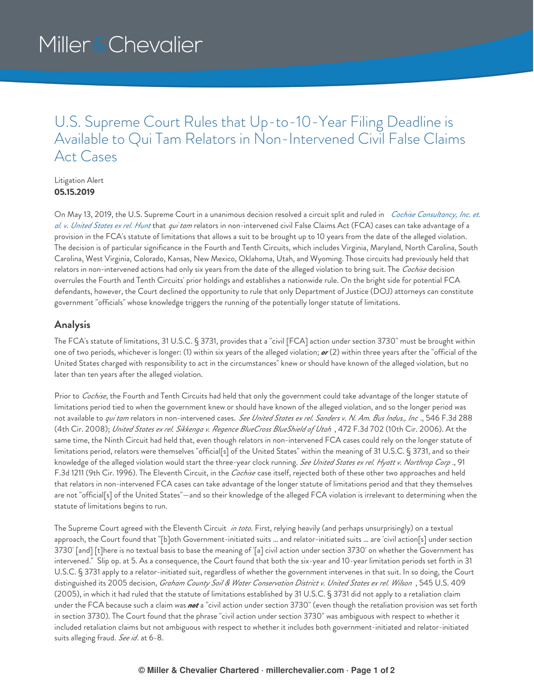## U.S. Supreme Court Rules that Up-to-10-Year Filing Deadline is Available to Qui Tam Relators in Non-Intervened Civil False Claims Act Cases

Litigation Alert **05.15.2019**

On May 13, 2019, the U.S. Supreme Court in a unanimous decision resolved a circuit split and ruled in *Cochise Consultancy, Inc. et. al. v. United States ex rel. Hunt* that *qui tam* relators in [non-intervened](https://www.supremecourt.gov/opinions/18pdf/18-315_1b8e.pdf) civil False Claims Act (FCA) cases can take advantage of a provision in the FCA's statute of limitations that allows a suit to be brought up to 10 years from the date of the alleged violation. The decision is of particular significance in the Fourth and Tenth Circuits, which includes Virginia, Maryland, North Carolina, South Carolina, West Virginia, Colorado, Kansas, New Mexico, Oklahoma, Utah, and Wyoming. Those circuits had previously held that relators in non-intervened actions had only six years from the date of the alleged violation to bring suit. The *Cochise* decision overrules the Fourth and Tenth Circuits' prior holdings and establishes a nationwide rule. On the bright side for potential FCA defendants, however, the Court declined the opportunity to rule that only Department of Justice (DOJ) attorneys can constitute government "officials" whose knowledge triggers the running of the potentially longer statute of limitations.

## **Analysis**

The FCA's statute of limitations, 31 U.S.C. § 3731, provides that a "civil [FCA] action under section 3730" must be brought within one of two periods, whichever is longer: (1) within six years of the alleged violation; *or* (2) within three years after the "official of the United States charged with responsibility to act in the circumstances" knew or should have known of the alleged violation, but no later than ten years after the alleged violation.

Prior to *Cochise*, the Fourth and Tenth Circuits had held that only the government could take advantage of the longer statute of limitations period tied to when the government knew or should have known of the alleged violation, and so the longer period was not available to *qui tam* relators in non-intervened cases. See United States ex rel. Sanders v. N. Am. Bus Indus., Inc., 546 F.3d 288 (4th Cir. 2008); *United States ex rel. Sikkenga v. Regence BlueCross BlueShield of Utah* , 472 F.3d 702 (10th Cir. 2006). At the same time, the Ninth Circuit had held that, even though relators in non-intervened FCA cases could rely on the longer statute of limitations period, relators were themselves "official[s] of the United States" within the meaning of 31 U.S.C. § 3731, and so their knowledge of the alleged violation would start the three-year clock running. *See United States ex rel. Hyatt v. Northrop Corp* ., 91 F.3d 1211 (9th Cir. 1996). The Eleventh Circuit, in the *Cochise* case itself, rejected both of these other two approaches and held that relators in non-intervened FCA cases can take advantage of the longer statute of limitations period and that they themselves are not "official[s] of the United States"—and so their knowledge of the alleged FCA violation is irrelevant to determining when the statute of limitations begins to run.

The Supreme Court agreed with the Eleventh Circuit *in toto*. First, relying heavily (and perhaps unsurprisingly) on a textual approach, the Court found that "[b]oth Government-initiated suits … and relator-initiated suits … are 'civil action[s] under section 3730' [and] [t]here is no textual basis to base the meaning of '[a] civil action under section 3730' on whether the Government has intervened." Slip op. at 5. As a consequence, the Court found that both the six-year and 10-year limitation periods set forth in 31 U.S.C. § 3731 apply to a relator-initiated suit, regardless of whether the government intervenes in that suit. In so doing, the Court distinguished its 2005 decision, *Graham County Soil & Water Conservation District v. United States ex rel. Wilson* , 545 U.S. 409 (2005), in which it had ruled that the statute of limitations established by 31 U.S.C. § 3731 did not apply to a retaliation claim under the FCA because such a claim was *not* a "civil action under section 3730" (even though the retaliation provision was set forth in section 3730). The Court found that the phrase "civil action under section 3730" was ambiguous with respect to whether it included retaliation claims but not ambiguous with respect to whether it includes both government-initiated and relator-initiated suits alleging fraud. *See id*. at 6-8.